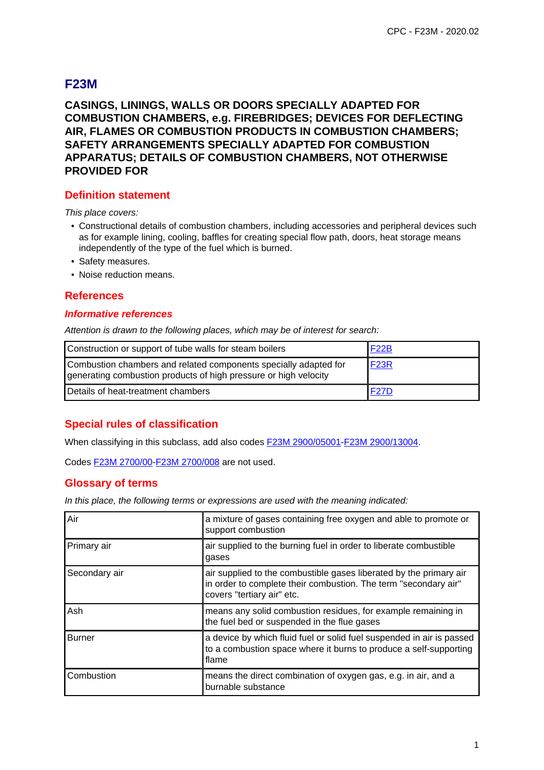# **F23M**

**CASINGS, LININGS, WALLS OR DOORS SPECIALLY ADAPTED FOR COMBUSTION CHAMBERS, e.g. FIREBRIDGES; DEVICES FOR DEFLECTING AIR, FLAMES OR COMBUSTION PRODUCTS IN COMBUSTION CHAMBERS; SAFETY ARRANGEMENTS SPECIALLY ADAPTED FOR COMBUSTION APPARATUS; DETAILS OF COMBUSTION CHAMBERS, NOT OTHERWISE PROVIDED FOR**

## **Definition statement**

This place covers:

- Constructional details of combustion chambers, including accessories and peripheral devices such as for example lining, cooling, baffles for creating special flow path, doors, heat storage means independently of the type of the fuel which is burned.
- Safety measures.
- Noise reduction means.

### **References**

#### **Informative references**

Attention is drawn to the following places, which may be of interest for search:

| Construction or support of tube walls for steam boilers                                                                              | <b>F22B</b> |
|--------------------------------------------------------------------------------------------------------------------------------------|-------------|
| Combustion chambers and related components specially adapted for<br>generating combustion products of high pressure or high velocity | F23R        |
| Details of heat-treatment chambers                                                                                                   | <b>F27D</b> |

## **Special rules of classification**

When classifying in this subclass, add also codes F23M 2900/05001-F23M 2900/13004.

Codes F23M 2700/00-F23M 2700/008 are not used.

#### **Glossary of terms**

In this place, the following terms or expressions are used with the meaning indicated:

| Air           | a mixture of gases containing free oxygen and able to promote or<br>support combustion                                                                              |
|---------------|---------------------------------------------------------------------------------------------------------------------------------------------------------------------|
| Primary air   | air supplied to the burning fuel in order to liberate combustible<br>gases                                                                                          |
| Secondary air | air supplied to the combustible gases liberated by the primary air<br>in order to complete their combustion. The term "secondary air"<br>covers "tertiary air" etc. |
| Ash           | means any solid combustion residues, for example remaining in<br>the fuel bed or suspended in the flue gases                                                        |
| <b>Burner</b> | a device by which fluid fuel or solid fuel suspended in air is passed<br>to a combustion space where it burns to produce a self-supporting<br>flame                 |
| Combustion    | means the direct combination of oxygen gas, e.g. in air, and a<br>burnable substance                                                                                |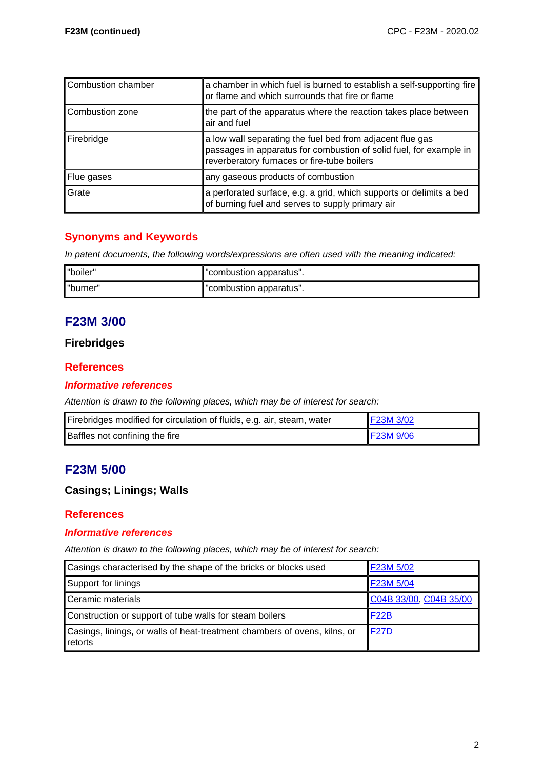| Combustion chamber | a chamber in which fuel is burned to establish a self-supporting fire<br>or flame and which surrounds that fire or flame                                                       |
|--------------------|--------------------------------------------------------------------------------------------------------------------------------------------------------------------------------|
| Combustion zone    | the part of the apparatus where the reaction takes place between<br>air and fuel                                                                                               |
| Firebridge         | a low wall separating the fuel bed from adjacent flue gas<br>passages in apparatus for combustion of solid fuel, for example in<br>reverberatory furnaces or fire-tube boilers |
| Flue gases         | any gaseous products of combustion                                                                                                                                             |
| Grate              | a perforated surface, e.g. a grid, which supports or delimits a bed<br>of burning fuel and serves to supply primary air                                                        |

## **Synonyms and Keywords**

In patent documents, the following words/expressions are often used with the meaning indicated:

| "boiler" | "combustion apparatus". |
|----------|-------------------------|
| "burner" | "combustion apparatus". |

# **F23M 3/00**

## **Firebridges**

## **References**

#### **Informative references**

Attention is drawn to the following places, which may be of interest for search:

| Firebridges modified for circulation of fluids, e.g. air, steam, water | F23M 3/02 |
|------------------------------------------------------------------------|-----------|
| Baffles not confining the fire                                         | F23M 9/06 |

# **F23M 5/00**

## **Casings; Linings; Walls**

#### **References**

#### **Informative references**

Attention is drawn to the following places, which may be of interest for search:

| Casings characterised by the shape of the bricks or blocks used                      | F23M 5/02              |
|--------------------------------------------------------------------------------------|------------------------|
| Support for linings                                                                  | F23M 5/04              |
| Ceramic materials                                                                    | C04B 33/00, C04B 35/00 |
| Construction or support of tube walls for steam boilers                              | <b>F22B</b>            |
| Casings, linings, or walls of heat-treatment chambers of ovens, kilns, or<br>retorts | <b>F27D</b>            |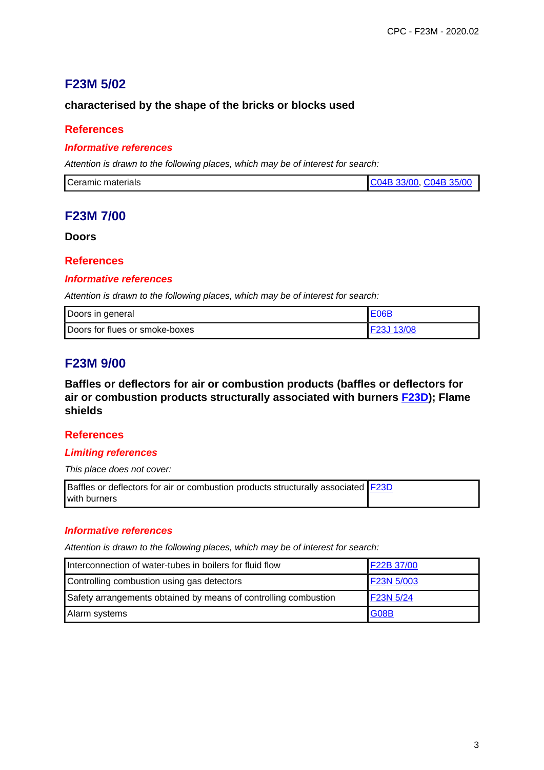# **F23M 5/02**

## **characterised by the shape of the bricks or blocks used**

### **References**

#### **Informative references**

Attention is drawn to the following places, which may be of interest for search:

# **F23M 7/00**

**Doors**

## **References**

#### **Informative references**

Attention is drawn to the following places, which may be of interest for search:

| Doors in general               | FORP                    |
|--------------------------------|-------------------------|
| Doors for flues or smoke-boxes | F <sub>23</sub> J 13/08 |

# **F23M 9/00**

**Baffles or deflectors for air or combustion products (baffles or deflectors for air or combustion products structurally associated with burners F23D); Flame shields**

#### **References**

#### **Limiting references**

This place does not cover:

| Baffles or deflectors for air or combustion products structurally associated F23D |  |
|-----------------------------------------------------------------------------------|--|
| with burners                                                                      |  |

#### **Informative references**

Attention is drawn to the following places, which may be of interest for search:

| Interconnection of water-tubes in boilers for fluid flow        | F22B 37/00 |
|-----------------------------------------------------------------|------------|
| Controlling combustion using gas detectors                      | F23N 5/003 |
| Safety arrangements obtained by means of controlling combustion | F23N 5/24  |
| Alarm systems                                                   | G08B       |